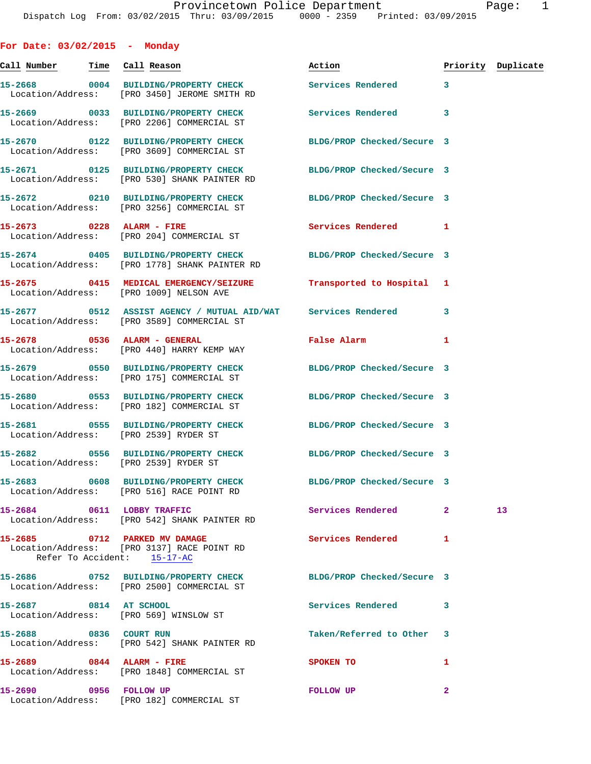**For Date: 03/02/2015 - Monday Call Number Time Call Reason Action Priority Duplicate 15-2668 0004 BUILDING/PROPERTY CHECK Services Rendered 3**  Location/Address: [PRO 3450] JEROME SMITH RD **15-2669 0033 BUILDING/PROPERTY CHECK Services Rendered 3**  Location/Address: [PRO 2206] COMMERCIAL ST **15-2670 0122 BUILDING/PROPERTY CHECK BLDG/PROP Checked/Secure 3**  Location/Address: [PRO 3609] COMMERCIAL ST **15-2671 0125 BUILDING/PROPERTY CHECK BLDG/PROP Checked/Secure 3**  Location/Address: [PRO 530] SHANK PAINTER RD **15-2672 0210 BUILDING/PROPERTY CHECK BLDG/PROP Checked/Secure 3**  Location/Address: [PRO 3256] COMMERCIAL ST **15-2673 0228 ALARM - FIRE Services Rendered 1**  Location/Address: [PRO 204] COMMERCIAL ST **15-2674 0405 BUILDING/PROPERTY CHECK BLDG/PROP Checked/Secure 3**  Location/Address: [PRO 1778] SHANK PAINTER RD **15-2675 0415 MEDICAL EMERGENCY/SEIZURE Transported to Hospital 1**  Location/Address: [PRO 1009] NELSON AVE **15-2677 0512 ASSIST AGENCY / MUTUAL AID/WAT Services Rendered 3**  Location/Address: [PRO 3589] COMMERCIAL ST **15-2678 0536 ALARM - GENERAL False Alarm 1**  Location/Address: [PRO 440] HARRY KEMP WAY **15-2679 0550 BUILDING/PROPERTY CHECK BLDG/PROP Checked/Secure 3**  Location/Address: [PRO 175] COMMERCIAL ST **15-2680 0553 BUILDING/PROPERTY CHECK BLDG/PROP Checked/Secure 3**  Location/Address: [PRO 182] COMMERCIAL ST **15-2681 0555 BUILDING/PROPERTY CHECK BLDG/PROP Checked/Secure 3**  Location/Address: [PRO 2539] RYDER ST **15-2682 0556 BUILDING/PROPERTY CHECK BLDG/PROP Checked/Secure 3**  Location/Address: [PRO 2539] RYDER ST **15-2683 0608 BUILDING/PROPERTY CHECK BLDG/PROP Checked/Secure 3**  Location/Address: [PRO 516] RACE POINT RD **15-2684 0611 LOBBY TRAFFIC Services Rendered 2 13**  Location/Address: [PRO 542] SHANK PAINTER RD **15-2685 0712 PARKED MV DAMAGE Services Rendered 1**  Location/Address: [PRO 3137] RACE POINT RD Refer To Accident: 15-17-AC **15-2686 0752 BUILDING/PROPERTY CHECK BLDG/PROP Checked/Secure 3**  Location/Address: [PRO 2500] COMMERCIAL ST **15-2687 0814 AT SCHOOL Services Rendered 3**  Location/Address: [PRO 569] WINSLOW ST **15-2688 0836 COURT RUN Taken/Referred to Other 3**  Location/Address: [PRO 542] SHANK PAINTER RD **15-2689 0844 ALARM - FIRE SPOKEN TO 1**  Location/Address: [PRO 1848] COMMERCIAL ST

**15-2690 0956 FOLLOW UP FOLLOW UP 2**  Location/Address: [PRO 182] COMMERCIAL ST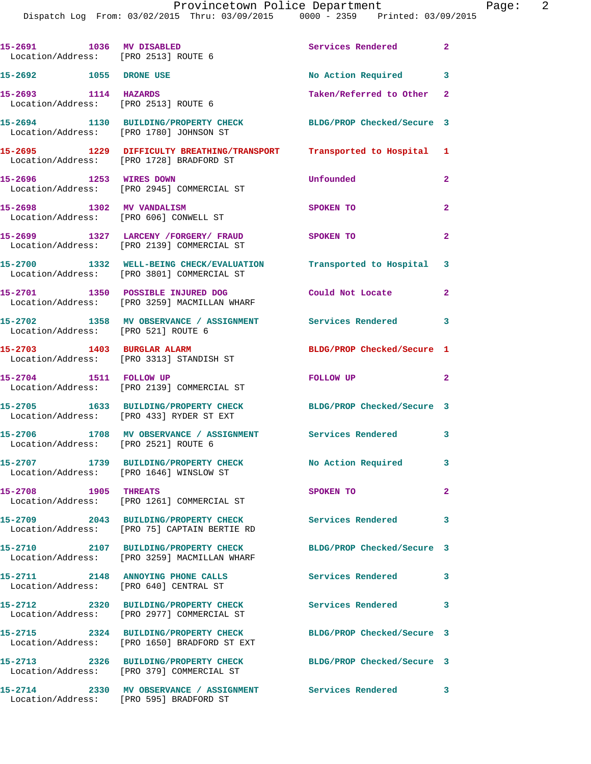| 15-2691 1036 MV DISABLED<br>Location/Address: [PRO 2513] ROUTE 6 |                                                                                                                            | Services Rendered 2        |                |
|------------------------------------------------------------------|----------------------------------------------------------------------------------------------------------------------------|----------------------------|----------------|
| 15-2692 1055 DRONE USE                                           |                                                                                                                            | No Action Required 3       |                |
| 15-2693 1114 HAZARDS<br>Location/Address: [PRO 2513] ROUTE 6     |                                                                                                                            | Taken/Referred to Other    | $\mathbf{2}$   |
|                                                                  | 15-2694 1130 BUILDING/PROPERTY CHECK BLDG/PROP Checked/Secure 3<br>Location/Address: [PRO 1780] JOHNSON ST                 |                            |                |
|                                                                  | 15-2695      1229 DIFFICULTY BREATHING/TRANSPORT    Transported to Hospital 1<br>Location/Address:   [PRO 1728]BRADFORD ST |                            |                |
| 15-2696 1253 WIRES DOWN                                          | Location/Address: [PRO 2945] COMMERCIAL ST                                                                                 | Unfounded                  | $\mathbf{2}$   |
| 15-2698 1302 MV VANDALISM                                        | Location/Address: [PRO 606] CONWELL ST                                                                                     | SPOKEN TO                  | $\overline{2}$ |
|                                                                  | 15-2699 1327 LARCENY / FORGERY / FRAUD<br>Location/Address: [PRO 2139] COMMERCIAL ST                                       | SPOKEN TO                  | $\mathbf{2}$   |
|                                                                  | 15-2700 1332 WELL-BEING CHECK/EVALUATION Transported to Hospital 3<br>Location/Address: [PRO 3801] COMMERCIAL ST           |                            |                |
|                                                                  | 15-2701 1350 POSSIBLE INJURED DOG<br>Location/Address: [PRO 3259] MACMILLAN WHARF                                          | Could Not Locate           | $\overline{2}$ |
| Location/Address: [PRO 521] ROUTE 6                              | 15-2702 1358 MV OBSERVANCE / ASSIGNMENT Services Rendered 3                                                                |                            |                |
| 15-2703 1403 BURGLAR ALARM                                       | Location/Address: [PRO 3313] STANDISH ST                                                                                   | BLDG/PROP Checked/Secure 1 |                |
| 15-2704 1511 FOLLOW UP                                           | Location/Address: [PRO 2139] COMMERCIAL ST                                                                                 | FOLLOW UP                  | $\overline{2}$ |
|                                                                  | 15-2705 1633 BUILDING/PROPERTY CHECK<br>Location/Address: [PRO 433] RYDER ST EXT                                           | BLDG/PROP Checked/Secure 3 |                |
| Location/Address: [PRO 2521] ROUTE 6                             | 15-2706 1708 MV OBSERVANCE / ASSIGNMENT Services Rendered 3                                                                |                            |                |
|                                                                  | 15-2707 1739 BUILDING/PROPERTY CHECK<br>Location/Address: [PRO 1646] WINSLOW ST                                            | No Action Required         | 3              |
| <b>15-2708 1905 THREATS</b>                                      | Location/Address: [PRO 1261] COMMERCIAL ST                                                                                 | SPOKEN TO                  | $\overline{2}$ |
|                                                                  | 15-2709 2043 BUILDING/PROPERTY CHECK<br>Location/Address: [PRO 75] CAPTAIN BERTIE RD                                       | <b>Services Rendered</b>   | 3              |
|                                                                  | 15-2710 2107 BUILDING/PROPERTY CHECK<br>Location/Address: [PRO 3259] MACMILLAN WHARF                                       | BLDG/PROP Checked/Secure 3 |                |
|                                                                  | 15-2711 2148 ANNOYING PHONE CALLS<br>Location/Address: [PRO 640] CENTRAL ST                                                | <b>Services Rendered</b>   | $\mathbf{3}$   |
|                                                                  | 15-2712 2320 BUILDING/PROPERTY CHECK<br>Location/Address: [PRO 2977] COMMERCIAL ST                                         | Services Rendered 3        |                |
|                                                                  | 15-2715 2324 BUILDING/PROPERTY CHECK BLDG/PROP Checked/Secure 3<br>Location/Address: [PRO 1650] BRADFORD ST EXT            |                            |                |
|                                                                  | 15-2713 2326 BUILDING/PROPERTY CHECK<br>Location/Address: [PRO 379] COMMERCIAL ST                                          | BLDG/PROP Checked/Secure 3 |                |
|                                                                  | 15-2714 2330 MV OBSERVANCE / ASSIGNMENT Services Rendered<br>Location/Address: [PRO 595] BRADFORD ST                       |                            | 3              |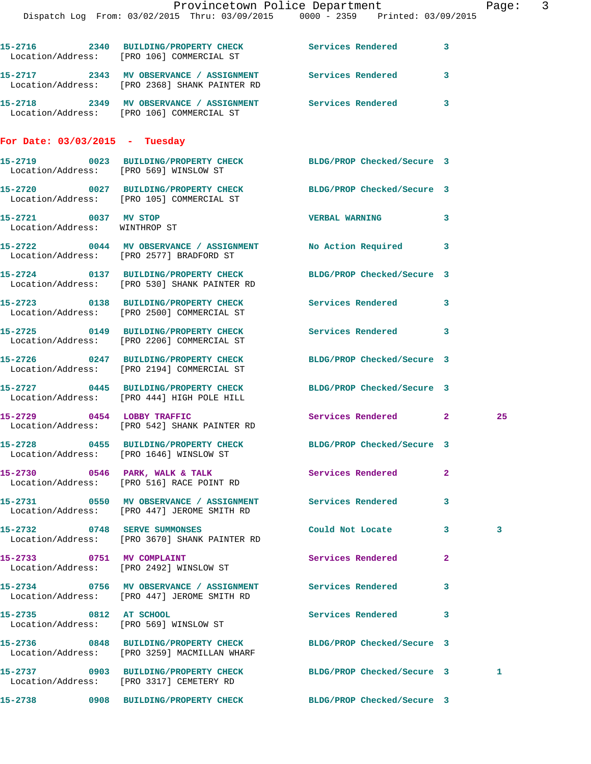|                                                       |                                                                                    | Provincetown Police Department<br>Dispatch Log From: 03/02/2015 Thru: 03/09/2015 0000 - 2359 Printed: 03/09/2015 | Page: 3 |
|-------------------------------------------------------|------------------------------------------------------------------------------------|------------------------------------------------------------------------------------------------------------------|---------|
|                                                       | Location/Address: [PRO 106] COMMERCIAL ST                                          | 15-2716 2340 BUILDING/PROPERTY CHECK Services Rendered 3                                                         |         |
|                                                       | Location/Address: [PRO 2368] SHANK PAINTER RD                                      | 15-2717 2343 MV OBSERVANCE / ASSIGNMENT Services Rendered 3                                                      |         |
|                                                       | Location/Address: [PRO 106] COMMERCIAL ST                                          | 15-2718 2349 MV OBSERVANCE / ASSIGNMENT Services Rendered 3                                                      |         |
| For Date: $03/03/2015$ - Tuesday                      |                                                                                    |                                                                                                                  |         |
| Location/Address: [PRO 569] WINSLOW ST                |                                                                                    | 15-2719 0023 BUILDING/PROPERTY CHECK BLDG/PROP Checked/Secure 3                                                  |         |
|                                                       | Location/Address: [PRO 105] COMMERCIAL ST                                          | 15-2720 0027 BUILDING/PROPERTY CHECK BLDG/PROP Checked/Secure 3                                                  |         |
| 15-2721 0037 MV STOP<br>Location/Address: WINTHROP ST |                                                                                    | VERBAL WARNING 3                                                                                                 |         |
|                                                       | Location/Address: [PRO 2577] BRADFORD ST                                           | 15-2722 0044 MV OBSERVANCE / ASSIGNMENT No Action Required 3                                                     |         |
|                                                       | Location/Address: [PRO 530] SHANK PAINTER RD                                       | 15-2724 0137 BUILDING/PROPERTY CHECK BLDG/PROP Checked/Secure 3                                                  |         |
|                                                       | 15-2723 0138 BUILDING/PROPERTY CHECK<br>Location/Address: [PRO 2500] COMMERCIAL ST | Services Rendered 3                                                                                              |         |
|                                                       | Location/Address: [PRO 2206] COMMERCIAL ST                                         | 15-2725 0149 BUILDING/PROPERTY CHECK Services Rendered 3                                                         |         |
|                                                       | Location/Address: [PRO 2194] COMMERCIAL ST                                         | 15-2726 0247 BUILDING/PROPERTY CHECK BLDG/PROP Checked/Secure 3                                                  |         |
|                                                       | Location/Address: [PRO 444] HIGH POLE HILL                                         | 15-2727 0445 BUILDING/PROPERTY CHECK BLDG/PROP Checked/Secure 3                                                  |         |
|                                                       | 15-2729 0454 LOBBY TRAFFIC<br>Location/Address: [PRO 542] SHANK PAINTER RD         | Services Rendered 2                                                                                              | 25      |
|                                                       | Location/Address: [PRO 1646] WINSLOW ST                                            | 15-2728 0455 BUILDING/PROPERTY CHECK BLDG/PROP Checked/Secure 3                                                  |         |
|                                                       | 15-2730 0546 PARK, WALK & TALK<br>Location/Address: [PRO 516] RACE POINT RD        | <b>Services Rendered</b><br>$\mathbf{2}$                                                                         |         |
|                                                       | Location/Address: [PRO 447] JEROME SMITH RD                                        | 15-2731 0550 MV OBSERVANCE / ASSIGNMENT Services Rendered 3                                                      |         |
|                                                       | 15-2732 0748 SERVE SUMMONSES<br>Location/Address: [PRO 3670] SHANK PAINTER RD      | Could Not Locate 3                                                                                               | 3       |
| 15-2733 0751 MV COMPLAINT                             | Location/Address: [PRO 2492] WINSLOW ST                                            | Services Rendered<br>$\mathbf{2}$                                                                                |         |
|                                                       | Location/Address: [PRO 447] JEROME SMITH RD                                        | 15-2734 0756 MV OBSERVANCE / ASSIGNMENT Services Rendered 3                                                      |         |
| 15-2735 0812 AT SCHOOL                                | Location/Address: [PRO 569] WINSLOW ST                                             | Services Rendered 3                                                                                              |         |
|                                                       | Location/Address: [PRO 3259] MACMILLAN WHARF                                       | 15-2736 0848 BUILDING/PROPERTY CHECK BLDG/PROP Checked/Secure 3                                                  |         |
|                                                       | Location/Address: [PRO 3317] CEMETERY RD                                           | 15-2737 0903 BUILDING/PROPERTY CHECK BLDG/PROP Checked/Secure 3                                                  | 1       |
|                                                       |                                                                                    | 15-2738 0908 BUILDING/PROPERTY CHECK BLDG/PROP Checked/Secure 3                                                  |         |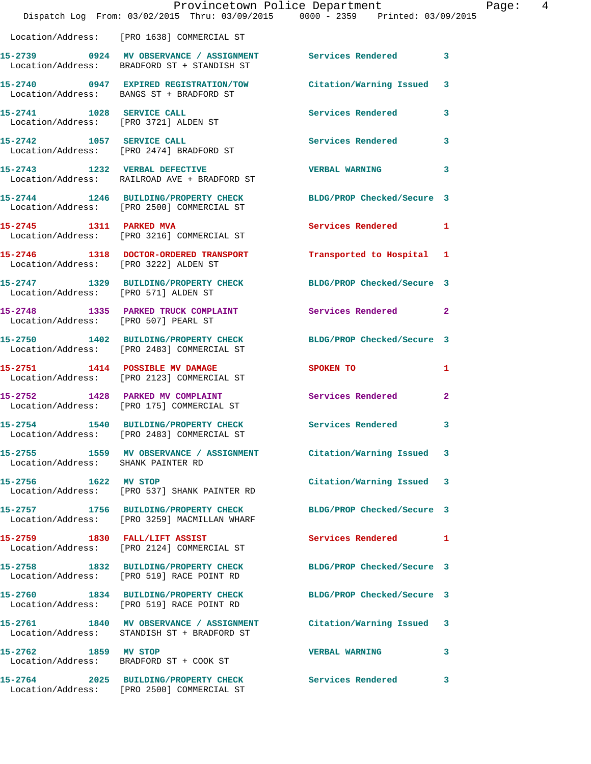|                                      | Provincetown Police Department<br>Dispatch Log From: 03/02/2015 Thru: 03/09/2015 0000 - 2359 Printed: 03/09/2015 |                            | Page: 4        |
|--------------------------------------|------------------------------------------------------------------------------------------------------------------|----------------------------|----------------|
|                                      | Location/Address: [PRO 1638] COMMERCIAL ST                                                                       |                            |                |
|                                      | 15-2739 0924 MV OBSERVANCE / ASSIGNMENT Services Rendered<br>Location/Address: BRADFORD ST + STANDISH ST         |                            | 3              |
|                                      | 15-2740 0947 EXPIRED REGISTRATION/TOW Citation/Warning Issued 3<br>Location/Address: BANGS ST + BRADFORD ST      |                            |                |
|                                      | 15-2741 1028 SERVICE CALL<br>Location/Address: [PRO 3721] ALDEN ST                                               | <b>Services Rendered</b>   | 3              |
|                                      | 15-2742 1057 SERVICE CALL<br>Location/Address: [PRO 2474] BRADFORD ST                                            | Services Rendered          | $\mathbf{3}$   |
|                                      | 15-2743 1232 VERBAL DEFECTIVE<br>Location/Address: RAILROAD AVE + BRADFORD ST                                    | <b>VERBAL WARNING</b>      | 3              |
|                                      | 15-2744 1246 BUILDING/PROPERTY CHECK BLDG/PROP Checked/Secure 3<br>Location/Address: [PRO 2500] COMMERCIAL ST    |                            |                |
|                                      | 15-2745 1311 PARKED MVA<br>Location/Address: [PRO 3216] COMMERCIAL ST                                            | Services Rendered 1        |                |
|                                      | 15-2746 1318 DOCTOR-ORDERED TRANSPORT<br>Location/Address: [PRO 3222] ALDEN ST                                   | Transported to Hospital 1  |                |
| Location/Address: [PRO 571] ALDEN ST | 15-2747 1329 BUILDING/PROPERTY CHECK BLDG/PROP Checked/Secure 3                                                  |                            |                |
| Location/Address: [PRO 507] PEARL ST | 15-2748 1335 PARKED TRUCK COMPLAINT                                                                              | Services Rendered          | $\mathbf{2}$   |
|                                      | 15-2750 1402 BUILDING/PROPERTY CHECK BLDG/PROP Checked/Secure 3<br>Location/Address: [PRO 2483] COMMERCIAL ST    |                            |                |
|                                      | 15-2751 1414 POSSIBLE MV DAMAGE<br>Location/Address: [PRO 2123] COMMERCIAL ST                                    | SPOKEN TO                  | $\mathbf{1}$   |
|                                      | 15-2752 1428 PARKED MV COMPLAINT Services Rendered<br>Location/Address: [PRO 175] COMMERCIAL ST                  |                            | $\overline{2}$ |
| 15-2754                              | 1540 BUILDING/PROPERTY CHECK<br>Location/Address: [PRO 2483] COMMERCIAL ST                                       | Services Rendered          | 3              |
| Location/Address: SHANK PAINTER RD   | 15-2755 1559 MV OBSERVANCE / ASSIGNMENT Citation/Warning Issued 3                                                |                            |                |
| 15-2756 1622 MV STOP                 | Location/Address: [PRO 537] SHANK PAINTER RD                                                                     | Citation/Warning Issued 3  |                |
|                                      |                                                                                                                  | BLDG/PROP Checked/Secure 3 |                |
|                                      | 15-2759 1830 FALL/LIFT ASSIST<br>Location/Address: [PRO 2124] COMMERCIAL ST                                      | Services Rendered          | $\mathbf{1}$   |
|                                      | 15-2758 1832 BUILDING/PROPERTY CHECK<br>Location/Address: [PRO 519] RACE POINT RD                                | BLDG/PROP Checked/Secure 3 |                |
|                                      | 15-2760 1834 BUILDING/PROPERTY CHECK<br>Location/Address: [PRO 519] RACE POINT RD                                | BLDG/PROP Checked/Secure 3 |                |
|                                      | 15-2761 1840 MV OBSERVANCE / ASSIGNMENT<br>Location/Address: STANDISH ST + BRADFORD ST                           | Citation/Warning Issued 3  |                |
| 15-2762 1859 MV STOP                 | Location/Address: BRADFORD ST + COOK ST                                                                          | <b>VERBAL WARNING</b>      | 3              |
|                                      | 15-2764 2025 BUILDING/PROPERTY CHECK Services Rendered<br>Location/Address: [PRO 2500] COMMERCIAL ST             |                            | 3              |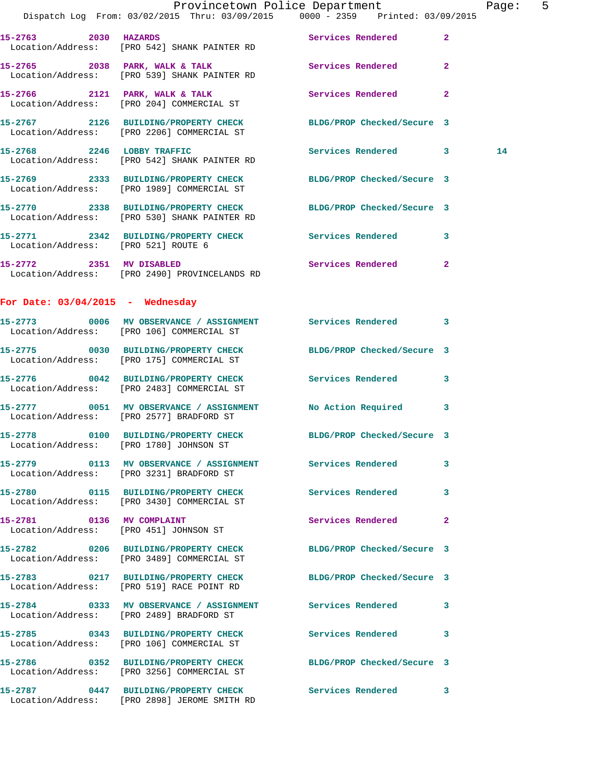|                                     |                                                                                                                 | Provincetown Police Department<br>Dispatch Log From: 03/02/2015 Thru: 03/09/2015 0000 - 2359 Printed: 03/09/2015 | Page: 5 |
|-------------------------------------|-----------------------------------------------------------------------------------------------------------------|------------------------------------------------------------------------------------------------------------------|---------|
|                                     |                                                                                                                 |                                                                                                                  |         |
|                                     | Location/Address: [PRO 542] SHANK PAINTER RD                                                                    |                                                                                                                  |         |
|                                     | Location/Address: [PRO 539] SHANK PAINTER RD                                                                    | 15-2765 2038 PARK, WALK & TALK 2 Services Rendered 2                                                             |         |
|                                     | 15-2766 2121 PARK, WALK & TALK<br>Location/Address: [PRO 204] COMMERCIAL ST                                     | Services Rendered 2                                                                                              |         |
|                                     | Location/Address: [PRO 2206] COMMERCIAL ST                                                                      | 15-2767 2126 BUILDING/PROPERTY CHECK BLDG/PROP Checked/Secure 3                                                  |         |
|                                     | 15-2768 2246 LOBBY TRAFFIC<br>Location/Address: [PRO 542] SHANK PAINTER RD                                      | Services Rendered 3                                                                                              | 14      |
|                                     | 15-2769 2333 BUILDING/PROPERTY CHECK BLDG/PROP Checked/Secure 3<br>Location/Address: [PRO 1989] COMMERCIAL ST   |                                                                                                                  |         |
|                                     | 15-2770 2338 BUILDING/PROPERTY CHECK BLDG/PROP Checked/Secure 3<br>Location/Address: [PRO 530] SHANK PAINTER RD |                                                                                                                  |         |
| Location/Address: [PRO 521] ROUTE 6 |                                                                                                                 | 15-2771 2342 BUILDING/PROPERTY CHECK Services Rendered 3                                                         |         |
|                                     | Location/Address: [PRO 2490] PROVINCELANDS RD                                                                   | 15-2772 2351 MV DISABLED 2 Services Rendered 2                                                                   |         |
| For Date: $03/04/2015$ - Wednesday  |                                                                                                                 |                                                                                                                  |         |
|                                     | 15-2773 0006 MV OBSERVANCE / ASSIGNMENT Services Rendered 3<br>Location/Address: [PRO 106] COMMERCIAL ST        |                                                                                                                  |         |
|                                     | 15-2775 0030 BUILDING/PROPERTY CHECK<br>Location/Address: [PRO 175] COMMERCIAL ST                               | BLDG/PROP Checked/Secure 3                                                                                       |         |
|                                     | 15-2776 0042 BUILDING/PROPERTY CHECK Services Rendered 3<br>Location/Address: [PRO 2483] COMMERCIAL ST          |                                                                                                                  |         |
|                                     | Location/Address: [PRO 2577] BRADFORD ST                                                                        | 15-2777 0051 MV OBSERVANCE / ASSIGNMENT No Action Required 3                                                     |         |
|                                     | 15-2778 0100 BUILDING/PROPERTY CHECK BLDG/PROP Checked/Secure 3<br>Location/Address: [PRO 1780] JOHNSON ST      |                                                                                                                  |         |
|                                     | 15-2779 0113 MV OBSERVANCE / ASSIGNMENT Services Rendered 3<br>Location/Address: [PRO 3231] BRADFORD ST         |                                                                                                                  |         |
|                                     | 15-2780 0115 BUILDING/PROPERTY CHECK Services Rendered 3<br>Location/Address: [PRO 3430] COMMERCIAL ST          |                                                                                                                  |         |
|                                     | 15-2781 0136 MV COMPLAINT<br>Location/Address: [PRO 451] JOHNSON ST                                             | Services Rendered 2                                                                                              |         |
|                                     | 15-2782 0206 BUILDING/PROPERTY CHECK BLDG/PROP Checked/Secure 3<br>Location/Address: [PRO 3489] COMMERCIAL ST   |                                                                                                                  |         |
|                                     | 15-2783 0217 BUILDING/PROPERTY CHECK BLDG/PROP Checked/Secure 3<br>Location/Address: [PRO 519] RACE POINT RD    |                                                                                                                  |         |
|                                     | 15-2784 0333 MV OBSERVANCE / ASSIGNMENT Services Rendered 3<br>Location/Address: [PRO 2489] BRADFORD ST         |                                                                                                                  |         |
|                                     | 15-2785 0343 BUILDING/PROPERTY CHECK Services Rendered 3<br>Location/Address: [PRO 106] COMMERCIAL ST           |                                                                                                                  |         |
|                                     | 15-2786 0352 BUILDING/PROPERTY CHECK BLDG/PROP Checked/Secure 3<br>Location/Address: [PRO 3256] COMMERCIAL ST   |                                                                                                                  |         |
|                                     | Location/Address: [PRO 2898] JEROME SMITH RD                                                                    | 15-2787 0447 BUILDING/PROPERTY CHECK Services Rendered 3                                                         |         |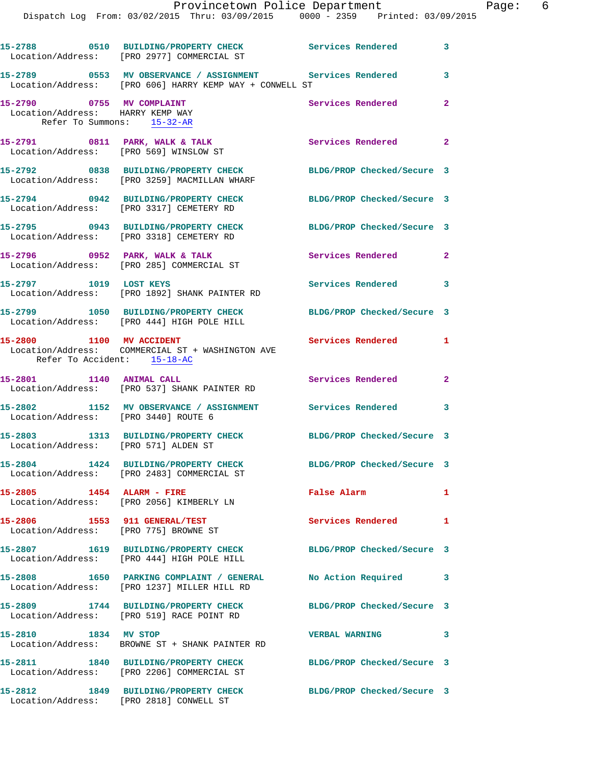|                                                                                             | 15-2788 0510 BUILDING/PROPERTY CHECK Services Rendered 3<br>Location/Address: [PRO 2977] COMMERCIAL ST          |                            |                |
|---------------------------------------------------------------------------------------------|-----------------------------------------------------------------------------------------------------------------|----------------------------|----------------|
|                                                                                             | Location/Address: [PRO 606] HARRY KEMP WAY + CONWELL ST                                                         |                            | 3              |
| 15-2790 0755 MV COMPLAINT<br>Location/Address: HARRY KEMP WAY<br>Refer To Summons: 15-32-AR |                                                                                                                 | Services Rendered          | $\overline{2}$ |
|                                                                                             | 15-2791 0811 PARK, WALK & TALK<br>Location/Address: [PRO 569] WINSLOW ST                                        | Services Rendered 2        |                |
|                                                                                             | 15-2792 0838 BUILDING/PROPERTY CHECK BLDG/PROP Checked/Secure 3<br>Location/Address: [PRO 3259] MACMILLAN WHARF |                            |                |
|                                                                                             | 15-2794 0942 BUILDING/PROPERTY CHECK<br>Location/Address: [PRO 3317] CEMETERY RD                                | BLDG/PROP Checked/Secure 3 |                |
|                                                                                             | 15-2795 0943 BUILDING/PROPERTY CHECK<br>Location/Address: [PRO 3318] CEMETERY RD                                | BLDG/PROP Checked/Secure 3 |                |
|                                                                                             | 15-2796 0952 PARK, WALK & TALK<br>Location/Address: [PRO 285] COMMERCIAL ST                                     | Services Rendered 2        |                |
| 15-2797 1019 LOST KEYS                                                                      | Location/Address: [PRO 1892] SHANK PAINTER RD                                                                   | Services Rendered 3        |                |
|                                                                                             | 15-2799 1050 BUILDING/PROPERTY CHECK BLDG/PROP Checked/Secure 3<br>Location/Address: [PRO 444] HIGH POLE HILL   |                            |                |
| 15-2800 1100 MV ACCIDENT<br>Refer To Accident: 15-18-AC                                     | Location/Address: COMMERCIAL ST + WASHINGTON AVE                                                                | Services Rendered 1        |                |
|                                                                                             | 15-2801 1140 ANIMAL CALL<br>Location/Address: [PRO 537] SHANK PAINTER RD                                        | Services Rendered 2        |                |
| Location/Address: [PRO 3440] ROUTE 6                                                        | 15-2802 1152 MV OBSERVANCE / ASSIGNMENT Services Rendered 3                                                     |                            |                |
| Location/Address: [PRO 571] ALDEN ST                                                        | 15-2803 1313 BUILDING/PROPERTY CHECK BLDG/PROP Checked/Secure 3                                                 |                            |                |
|                                                                                             | 15-2804 1424 BUILDING/PROPERTY CHECK<br>Location/Address: [PRO 2483] COMMERCIAL ST                              | BLDG/PROP Checked/Secure 3 |                |
| 15-2805 1454 ALARM - FIRE                                                                   | Location/Address: [PRO 2056] KIMBERLY LN                                                                        | False Alarm                | $\mathbf{1}$   |
| 15-2806 1553 911 GENERAL/TEST<br>Location/Address: [PRO 775] BROWNE ST                      |                                                                                                                 | Services Rendered          | 1              |
|                                                                                             | 15-2807 1619 BUILDING/PROPERTY CHECK<br>Location/Address: [PRO 444] HIGH POLE HILL                              | BLDG/PROP Checked/Secure 3 |                |
|                                                                                             | 15-2808 1650 PARKING COMPLAINT / GENERAL<br>Location/Address: [PRO 1237] MILLER HILL RD                         | No Action Required         | 3              |
|                                                                                             | 15-2809 1744 BUILDING/PROPERTY CHECK<br>Location/Address: [PRO 519] RACE POINT RD                               | BLDG/PROP Checked/Secure 3 |                |
| 15-2810 1834 MV STOP                                                                        | Location/Address: BROWNE ST + SHANK PAINTER RD                                                                  | VERBAL WARNING 3           |                |
|                                                                                             | 15-2811 1840 BUILDING/PROPERTY CHECK BLDG/PROP Checked/Secure 3<br>Location/Address: [PRO 2206] COMMERCIAL ST   |                            |                |
|                                                                                             | 15-2812 1849 BUILDING/PROPERTY CHECK<br>Location/Address: [PRO 2818] CONWELL ST                                 | BLDG/PROP Checked/Secure 3 |                |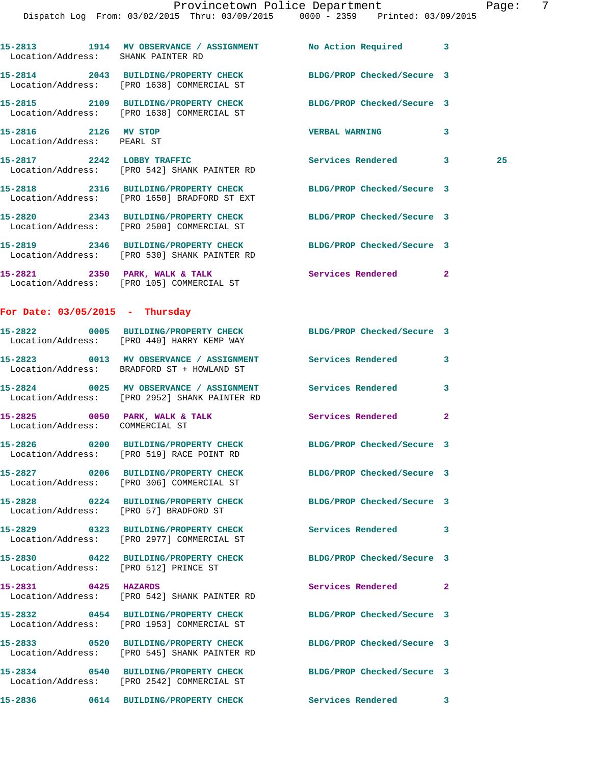|                                                    | Provincetown Police Department<br>Dispatch Log From: 03/02/2015 Thru: 03/09/2015 0000 - 2359 Printed: 03/09/2015 |                            |              | Page: 7 |  |
|----------------------------------------------------|------------------------------------------------------------------------------------------------------------------|----------------------------|--------------|---------|--|
| Location/Address: SHANK PAINTER RD                 | 15-2813 1914 MV OBSERVANCE / ASSIGNMENT No Action Required 3                                                     |                            |              |         |  |
|                                                    | 15-2814 2043 BUILDING/PROPERTY CHECK BLDG/PROP Checked/Secure 3<br>Location/Address: [PRO 1638] COMMERCIAL ST    |                            |              |         |  |
|                                                    | 15-2815 2109 BUILDING/PROPERTY CHECK BLDG/PROP Checked/Secure 3<br>Location/Address: [PRO 1638] COMMERCIAL ST    |                            |              |         |  |
| 15-2816 2126 MV STOP<br>Location/Address: PEARL ST |                                                                                                                  | VERBAL WARNING 3           |              |         |  |
|                                                    | 15-2817 2242 LOBBY TRAFFIC<br>Location/Address: [PRO 542] SHANK PAINTER RD                                       | Services Rendered 3        |              | 25      |  |
|                                                    | 15-2818 2316 BUILDING/PROPERTY CHECK BLDG/PROP Checked/Secure 3<br>Location/Address: [PRO 1650] BRADFORD ST EXT  |                            |              |         |  |
|                                                    | 15-2820 2343 BUILDING/PROPERTY CHECK BLDG/PROP Checked/Secure 3<br>Location/Address: [PRO 2500] COMMERCIAL ST    |                            |              |         |  |
|                                                    | 15-2819 2346 BUILDING/PROPERTY CHECK BLDG/PROP Checked/Secure 3<br>Location/Address: [PRO 530] SHANK PAINTER RD  |                            |              |         |  |
|                                                    | 15-2821 2350 PARK, WALK & TALK<br>Location/Address: [PRO 105] COMMERCIAL ST                                      | Services Rendered 2        |              |         |  |
| For Date: $03/05/2015$ - Thursday                  |                                                                                                                  |                            |              |         |  |
|                                                    | 15-2822 0005 BUILDING/PROPERTY CHECK BLDG/PROP Checked/Secure 3<br>Location/Address: [PRO 440] HARRY KEMP WAY    |                            |              |         |  |
|                                                    | 15-2823 0013 MV OBSERVANCE / ASSIGNMENT Services Rendered 3<br>Location/Address: BRADFORD ST + HOWLAND ST        |                            |              |         |  |
|                                                    | 15-2824 0025 MV OBSERVANCE / ASSIGNMENT Services Rendered 3<br>Location/Address: [PRO 2952] SHANK PAINTER RD     |                            |              |         |  |
| Location/Address: COMMERCIAL ST                    | 15-2825 0050 PARK, WALK & TALK                                                                                   | Services Rendered          | $\mathbf{2}$ |         |  |
|                                                    | 15-2826 0200 BUILDING/PROPERTY CHECK<br>Location/Address: [PRO 519] RACE POINT RD                                | BLDG/PROP Checked/Secure 3 |              |         |  |
|                                                    | 15-2827 0206 BUILDING/PROPERTY CHECK<br>Location/Address: [PRO 306] COMMERCIAL ST                                | BLDG/PROP Checked/Secure 3 |              |         |  |
| Location/Address: [PRO 57] BRADFORD ST             | 15-2828 0224 BUILDING/PROPERTY CHECK                                                                             | BLDG/PROP Checked/Secure 3 |              |         |  |
|                                                    | 15-2829 0323 BUILDING/PROPERTY CHECK<br>Location/Address: [PRO 2977] COMMERCIAL ST                               | Services Rendered 3        |              |         |  |
| Location/Address: [PRO 512] PRINCE ST              | 15-2830 0422 BUILDING/PROPERTY CHECK                                                                             | BLDG/PROP Checked/Secure 3 |              |         |  |
| 15-2831 0425 HAZARDS                               | Location/Address: [PRO 542] SHANK PAINTER RD                                                                     | Services Rendered          | $\mathbf{2}$ |         |  |
|                                                    | 15-2832 0454 BUILDING/PROPERTY CHECK<br>Location/Address: [PRO 1953] COMMERCIAL ST                               | BLDG/PROP Checked/Secure 3 |              |         |  |
|                                                    | 15-2833 0520 BUILDING/PROPERTY CHECK<br>Location/Address: [PRO 545] SHANK PAINTER RD                             | BLDG/PROP Checked/Secure 3 |              |         |  |
|                                                    | 15-2834 0540 BUILDING/PROPERTY CHECK<br>Location/Address: [PRO 2542] COMMERCIAL ST                               | BLDG/PROP Checked/Secure 3 |              |         |  |

**15-2836 0614 BUILDING/PROPERTY CHECK Services Rendered 3**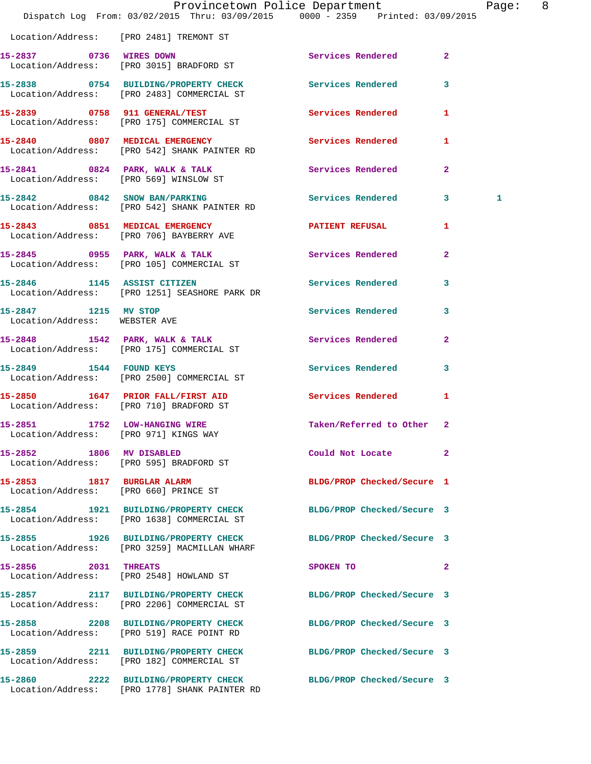|                                                       | Provincetown Police Department<br>Dispatch Log From: 03/02/2015 Thru: 03/09/2015 0000 - 2359 Printed: 03/09/2015 |                            |              | Page: 8 |  |
|-------------------------------------------------------|------------------------------------------------------------------------------------------------------------------|----------------------------|--------------|---------|--|
|                                                       | Location/Address: [PRO 2481] TREMONT ST                                                                          |                            |              |         |  |
|                                                       | 15-2837 0736 WIRES DOWN<br>Location/Address: [PRO 3015] BRADFORD ST                                              | Services Rendered 2        |              |         |  |
|                                                       | 15-2838 0754 BUILDING/PROPERTY CHECK Services Rendered 3<br>Location/Address: [PRO 2483] COMMERCIAL ST           |                            |              |         |  |
|                                                       | 15-2839 0758 911 GENERAL/TEST<br>Location/Address: [PRO 175] COMMERCIAL ST                                       | <b>Services Rendered</b>   | $\mathbf{1}$ |         |  |
|                                                       | 15-2840 0807 MEDICAL EMERGENCY<br>Location/Address: [PRO 542] SHANK PAINTER RD                                   | Services Rendered          | 1            |         |  |
|                                                       | 15-2841 0824 PARK, WALK & TALK<br>Location/Address: [PRO 569] WINSLOW ST                                         | Services Rendered          | $\mathbf{2}$ |         |  |
|                                                       | 15-2842 0842 SNOW BAN/PARKING<br>Location/Address: [PRO 542] SHANK PAINTER RD                                    | Services Rendered 3        |              | 1       |  |
|                                                       | 15-2843 0851 MEDICAL EMERGENCY<br>Location/Address: [PRO 706] BAYBERRY AVE                                       | PATIENT REFUSAL 1          |              |         |  |
|                                                       | 15-2845 0955 PARK, WALK & TALK<br>Location/Address: [PRO 105] COMMERCIAL ST                                      | Services Rendered          | $\mathbf{2}$ |         |  |
|                                                       | 15-2846 1145 ASSIST CITIZEN<br>Location/Address: [PRO 1251] SEASHORE PARK DR                                     | Services Rendered 3        |              |         |  |
| 15-2847 1215 MV STOP<br>Location/Address: WEBSTER AVE |                                                                                                                  | Services Rendered          | $\mathbf{3}$ |         |  |
|                                                       | 15-2848 1542 PARK, WALK & TALK<br>Location/Address: [PRO 175] COMMERCIAL ST                                      | Services Rendered 2        |              |         |  |
|                                                       | 15-2849 1544 FOUND KEYS<br>Location/Address: [PRO 2500] COMMERCIAL ST                                            | Services Rendered          | 3            |         |  |
|                                                       | 15-2850 1647 PRIOR FALL/FIRST AID<br>Location/Address: [PRO 710] BRADFORD ST                                     | <b>Services Rendered</b>   | $\mathbf{1}$ |         |  |
| 15-2851 1752 LOW-HANGING WIRE                         | Location/Address: [PRO 971] KINGS WAY                                                                            | Taken/Referred to Other 2  |              |         |  |
| 15-2852 1806 MV DISABLED                              | Location/Address: [PRO 595] BRADFORD ST                                                                          | Could Not Locate           | $\mathbf{2}$ |         |  |
|                                                       | 15-2853 1817 BURGLAR ALARM<br>Location/Address: [PRO 660] PRINCE ST                                              | BLDG/PROP Checked/Secure 1 |              |         |  |
|                                                       | 15-2854 1921 BUILDING/PROPERTY CHECK<br>Location/Address: [PRO 1638] COMMERCIAL ST                               | BLDG/PROP Checked/Secure 3 |              |         |  |
|                                                       | 15-2855 1926 BUILDING/PROPERTY CHECK<br>Location/Address: [PRO 3259] MACMILLAN WHARF                             | BLDG/PROP Checked/Secure 3 |              |         |  |
| 15-2856 2031 THREATS                                  | Location/Address: [PRO 2548] HOWLAND ST                                                                          | $\sim$ 2<br>SPOKEN TO      |              |         |  |
|                                                       | 15-2857 2117 BUILDING/PROPERTY CHECK<br>Location/Address: [PRO 2206] COMMERCIAL ST                               | BLDG/PROP Checked/Secure 3 |              |         |  |
|                                                       | 15-2858 2208 BUILDING/PROPERTY CHECK BLDG/PROP Checked/Secure 3<br>Location/Address: [PRO 519] RACE POINT RD     |                            |              |         |  |
|                                                       | 15-2859 2211 BUILDING/PROPERTY CHECK BLDG/PROP Checked/Secure 3<br>Location/Address: [PRO 182] COMMERCIAL ST     |                            |              |         |  |
|                                                       | 15-2860 2222 BUILDING/PROPERTY CHECK BLDG/PROP Checked/Secure 3<br>Location/Address: [PRO 1778] SHANK PAINTER RD |                            |              |         |  |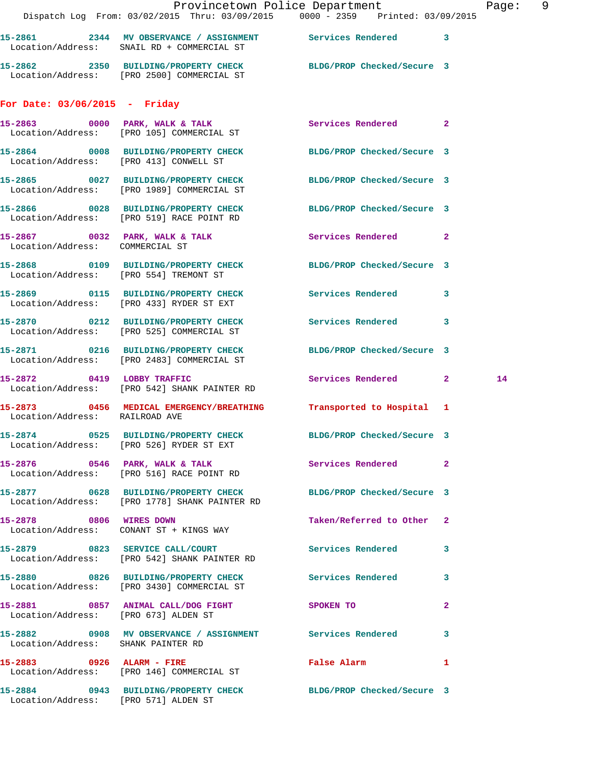|                                        | Provincetown Police Department<br>Dispatch Log From: 03/02/2015 Thru: 03/09/2015 0000 - 2359 Printed: 03/09/2015 |                            |              | Page: 9 |  |
|----------------------------------------|------------------------------------------------------------------------------------------------------------------|----------------------------|--------------|---------|--|
|                                        | 15-2861 2344 MV OBSERVANCE / ASSIGNMENT Services Rendered 3<br>Location/Address: SNAIL RD + COMMERCIAL ST        |                            |              |         |  |
|                                        | 15-2862 2350 BUILDING/PROPERTY CHECK BLDG/PROP Checked/Secure 3<br>Location/Address: [PRO 2500] COMMERCIAL ST    |                            |              |         |  |
| For Date: $03/06/2015$ - Friday        |                                                                                                                  |                            |              |         |  |
|                                        | 15-2863 0000 PARK, WALK & TALK Services Rendered 2<br>Location/Address: [PRO 105] COMMERCIAL ST                  |                            |              |         |  |
|                                        | 15-2864 0008 BUILDING/PROPERTY CHECK BLDG/PROP Checked/Secure 3<br>Location/Address: [PRO 413] CONWELL ST        |                            |              |         |  |
|                                        | 15-2865      0027   BUILDING/PROPERTY CHECK<br>Location/Address:   [PRO 1989] COMMERCIAL ST                      | BLDG/PROP Checked/Secure 3 |              |         |  |
|                                        | 15-2866 0028 BUILDING/PROPERTY CHECK BLDG/PROP Checked/Secure 3<br>Location/Address: [PRO 519] RACE POINT RD     |                            |              |         |  |
| Location/Address: COMMERCIAL ST        | 15-2867 0032 PARK, WALK & TALK 3 Services Rendered 2                                                             |                            |              |         |  |
| Location/Address: [PRO 554] TREMONT ST | 15-2868 0109 BUILDING/PROPERTY CHECK BLDG/PROP Checked/Secure 3                                                  |                            |              |         |  |
|                                        | 15-2869 0115 BUILDING/PROPERTY CHECK Services Rendered 3<br>Location/Address: [PRO 433] RYDER ST EXT             |                            |              |         |  |
|                                        | 15-2870 0212 BUILDING/PROPERTY CHECK Services Rendered 3<br>Location/Address: [PRO 525] COMMERCIAL ST            |                            |              |         |  |
|                                        | 15-2871 0216 BUILDING/PROPERTY CHECK BLDG/PROP Checked/Secure 3<br>Location/Address: [PRO 2483] COMMERCIAL ST    |                            |              |         |  |
|                                        | 15-2872 0419 LOBBY TRAFFIC<br>Location/Address: [PRO 542] SHANK PAINTER RD                                       | Services Rendered 2        |              | 14      |  |
| Location/Address: RAILROAD AVE         | 15-2873 0456 MEDICAL EMERGENCY/BREATHING Transported to Hospital 1                                               |                            |              |         |  |
|                                        | 15-2874 0525 BUILDING/PROPERTY CHECK BLDG/PROP Checked/Secure 3<br>Location/Address: [PRO 526] RYDER ST EXT      |                            |              |         |  |
|                                        | Location/Address: [PRO 516] RACE POINT RD                                                                        |                            |              |         |  |
|                                        | 15-2877 0628 BUILDING/PROPERTY CHECK BLDG/PROP Checked/Secure 3<br>Location/Address: [PRO 1778] SHANK PAINTER RD |                            |              |         |  |
|                                        | 15-2878 0806 WIRES DOWN<br>Location/Address: CONANT ST + KINGS WAY                                               | Taken/Referred to Other 2  |              |         |  |
|                                        | 15-2879 0823 SERVICE CALL/COURT<br>Location/Address: [PRO 542] SHANK PAINTER RD                                  | Services Rendered 3        |              |         |  |
|                                        | 15-2880 0826 BUILDING/PROPERTY CHECK Services Rendered 3<br>Location/Address: [PRO 3430] COMMERCIAL ST           |                            |              |         |  |
| Location/Address: [PRO 673] ALDEN ST   | 15-2881 0857 ANIMAL CALL/DOG FIGHT SPOKEN TO                                                                     |                            | $\mathbf{2}$ |         |  |
| Location/Address: SHANK PAINTER RD     | 15-2882 0908 MV OBSERVANCE / ASSIGNMENT Services Rendered 3                                                      |                            |              |         |  |
|                                        | 15-2883 0926 ALARM - FIRE<br>Location/Address: [PRO 146] COMMERCIAL ST                                           | False Alarm 1              |              |         |  |
|                                        | 15-2884 0943 BUILDING/PROPERTY CHECK BLDG/PROP Checked/Secure 3                                                  |                            |              |         |  |

Location/Address: [PRO 571] ALDEN ST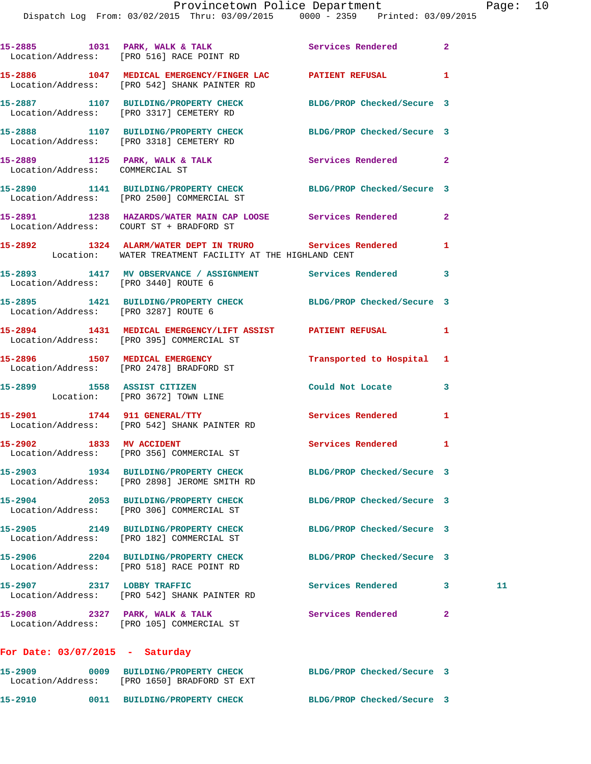|                                      | 15-2885 1031 PARK, WALK & TALK 1999 Services Rendered 2<br>Location/Address: [PRO 516] RACE POINT RD                |                            |              |    |
|--------------------------------------|---------------------------------------------------------------------------------------------------------------------|----------------------------|--------------|----|
|                                      | 15-2886 1047 MEDICAL EMERGENCY/FINGER LAC PATIENT REFUSAL 1<br>Location/Address: [PRO 542] SHANK PAINTER RD         |                            |              |    |
|                                      | 15-2887 1107 BUILDING/PROPERTY CHECK BLDG/PROP Checked/Secure 3<br>Location/Address: [PRO 3317] CEMETERY RD         |                            |              |    |
|                                      | 15-2888 1107 BUILDING/PROPERTY CHECK BLDG/PROP Checked/Secure 3<br>Location/Address: [PRO 3318] CEMETERY RD         |                            |              |    |
|                                      | 15-2889 1125 PARK, WALK & TALK Services Rendered 2<br>Location/Address: COMMERCIAL ST                               |                            |              |    |
|                                      | 15-2890 1141 BUILDING/PROPERTY CHECK BLDG/PROP Checked/Secure 3<br>Location/Address: [PRO 2500] COMMERCIAL ST       |                            |              |    |
|                                      | 15-2891 1238 HAZARDS/WATER MAIN CAP LOOSE Services Rendered 2<br>Location/Address: COURT ST + BRADFORD ST           |                            |              |    |
|                                      | 15-2892 1324 ALARM/WATER DEPT IN TRURO Services Rendered<br>Location: WATER TREATMENT FACILITY AT THE HIGHLAND CENT |                            | 1            |    |
|                                      | 15-2893 1417 MV OBSERVANCE / ASSIGNMENT Services Rendered 3<br>Location/Address: [PRO 3440] ROUTE 6                 |                            |              |    |
| Location/Address: [PRO 3287] ROUTE 6 | 15-2895 1421 BUILDING/PROPERTY CHECK BLDG/PROP Checked/Secure 3                                                     |                            |              |    |
|                                      | 15-2894 1431 MEDICAL EMERGENCY/LIFT ASSIST PATIENT REFUSAL 1<br>Location/Address: [PRO 395] COMMERCIAL ST           |                            |              |    |
|                                      | 15-2896 1507 MEDICAL EMERGENCY<br>Location/Address: [PRO 2478] BRADFORD ST                                          | Transported to Hospital 1  |              |    |
|                                      | 15-2899 1558 ASSIST CITIZEN<br>Location: [PRO 3672] TOWN LINE                                                       | Could Not Locate 3         |              |    |
|                                      | 15-2901 1744 911 GENERAL/TTY<br>Location/Address: [PRO 542] SHANK PAINTER RD                                        | Services Rendered          | 1            |    |
| 15-2902 1833 MV ACCIDENT             | Location/Address: [PRO 356] COMMERCIAL ST                                                                           | <b>Services Rendered</b>   | 1            |    |
|                                      | 15-2903 1934 BUILDING/PROPERTY CHECK<br>Location/Address: [PRO 2898] JEROME SMITH RD                                | BLDG/PROP Checked/Secure 3 |              |    |
|                                      | 15-2904 2053 BUILDING/PROPERTY CHECK<br>Location/Address: [PRO 306] COMMERCIAL ST                                   | BLDG/PROP Checked/Secure 3 |              |    |
|                                      | 15-2905 2149 BUILDING/PROPERTY CHECK<br>Location/Address: [PRO 182] COMMERCIAL ST                                   | BLDG/PROP Checked/Secure 3 |              |    |
|                                      | 15-2906 2204 BUILDING/PROPERTY CHECK<br>Location/Address: [PRO 518] RACE POINT RD                                   | BLDG/PROP Checked/Secure 3 |              |    |
|                                      | 15-2907 2317 LOBBY TRAFFIC<br>Location/Address: [PRO 542] SHANK PAINTER RD                                          | Services Rendered          | 3            | 11 |
| 15-2908 2327 PARK, WALK & TALK       | Location/Address: [PRO 105] COMMERCIAL ST                                                                           | Services Rendered          | $\mathbf{2}$ |    |
| For Date: $03/07/2015$ - Saturday    |                                                                                                                     |                            |              |    |
| 15-2909                              | 0009 BUILDING/PROPERTY CHECK BLDG/PROP Checked/Secure 3<br>Location/Address: [PRO 1650] BRADFORD ST EXT             |                            |              |    |

**15-2910 0011 BUILDING/PROPERTY CHECK BLDG/PROP Checked/Secure 3**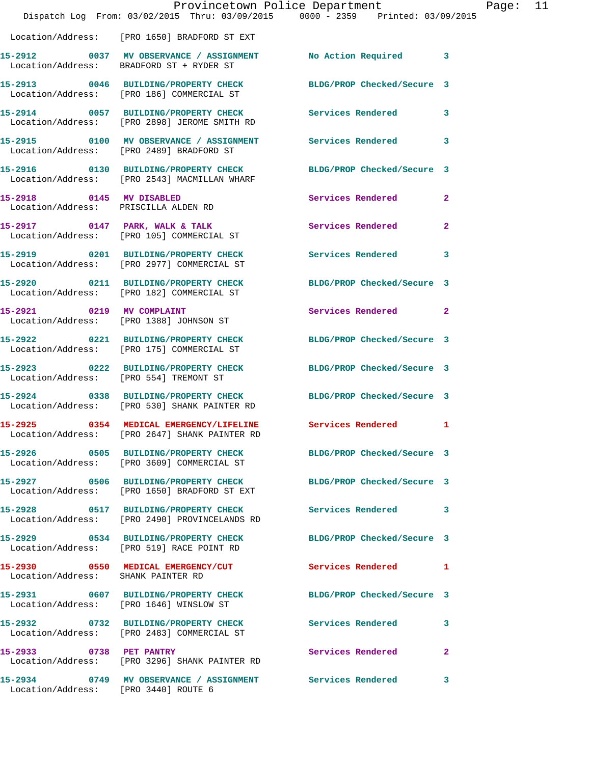|                                                                  | Dispatch Log From: 03/02/2015 Thru: 03/09/2015 0000 - 2359 Printed: 03/09/2015                                          | Provincetown Police Department |              | Page: 11 |  |
|------------------------------------------------------------------|-------------------------------------------------------------------------------------------------------------------------|--------------------------------|--------------|----------|--|
|                                                                  | Location/Address: [PRO 1650] BRADFORD ST EXT                                                                            |                                |              |          |  |
|                                                                  | 15-2912 0037 MV OBSERVANCE / ASSIGNMENT No Action Required 3<br>Location/Address: BRADFORD ST + RYDER ST                |                                |              |          |  |
|                                                                  | 15-2913 0046 BUILDING/PROPERTY CHECK BLDG/PROP Checked/Secure 3<br>Location/Address: [PRO 186] COMMERCIAL ST            |                                |              |          |  |
|                                                                  | 15-2914 0057 BUILDING/PROPERTY CHECK Services Rendered 3<br>Location/Address: [PRO 2898] JEROME SMITH RD                |                                |              |          |  |
|                                                                  | 15-2915 0100 MV OBSERVANCE / ASSIGNMENT Services Rendered<br>Location/Address: [PRO 2489] BRADFORD ST                   |                                | 3            |          |  |
|                                                                  | 15-2916 			 0130 BUILDING/PROPERTY CHECK 				BLDG/PROP Checked/Secure 3<br>Location/Address: [PRO 2543] MACMILLAN WHARF |                                |              |          |  |
| 15-2918 0145 MV DISABLED<br>Location/Address: PRISCILLA ALDEN RD |                                                                                                                         | <b>Services Rendered</b>       | $\mathbf{2}$ |          |  |
|                                                                  | 15-2917 0147 PARK, WALK & TALK 3 Services Rendered 2<br>Location/Address: [PRO 105] COMMERCIAL ST                       |                                |              |          |  |
|                                                                  | 15-2919 0201 BUILDING/PROPERTY CHECK Services Rendered<br>Location/Address: [PRO 2977] COMMERCIAL ST                    |                                | 3            |          |  |
|                                                                  | 15-2920 0211 BUILDING/PROPERTY CHECK BLDG/PROP Checked/Secure 3<br>Location/Address: [PRO 182] COMMERCIAL ST            |                                |              |          |  |
|                                                                  | 15-2921 0219 MV COMPLAINT<br>Location/Address: [PRO 1388] JOHNSON ST                                                    | Services Rendered 2            |              |          |  |
|                                                                  | 15-2922 0221 BUILDING/PROPERTY CHECK<br>Location/Address: [PRO 175] COMMERCIAL ST                                       | BLDG/PROP Checked/Secure 3     |              |          |  |
|                                                                  | 15-2923 0222 BUILDING/PROPERTY CHECK BLDG/PROP Checked/Secure 3<br>Location/Address: [PRO 554] TREMONT ST               |                                |              |          |  |
|                                                                  | 15-2924 0338 BUILDING/PROPERTY CHECK BLDG/PROP Checked/Secure 3<br>Location/Address: [PRO 530] SHANK PAINTER RD         |                                |              |          |  |
|                                                                  | 15-2925 0354 MEDICAL EMERGENCY/LIFELINE Services Rendered 1<br>Location/Address: [PRO 2647] SHANK PAINTER RD            |                                |              |          |  |
|                                                                  | 15-2926 0505 BUILDING/PROPERTY CHECK BLDG/PROP Checked/Secure 3<br>Location/Address: [PRO 3609] COMMERCIAL ST           |                                |              |          |  |
|                                                                  | 15-2927 0506 BUILDING/PROPERTY CHECK BLDG/PROP Checked/Secure 3<br>Location/Address: [PRO 1650] BRADFORD ST EXT         |                                |              |          |  |
|                                                                  | 15-2928 0517 BUILDING/PROPERTY CHECK Services Rendered 3<br>Location/Address: [PRO 2490] PROVINCELANDS RD               |                                |              |          |  |
|                                                                  | 15-2929 0534 BUILDING/PROPERTY CHECK BLDG/PROP Checked/Secure 3<br>Location/Address: [PRO 519] RACE POINT RD            |                                |              |          |  |
| Location/Address: SHANK PAINTER RD                               | 15-2930 0550 MEDICAL EMERGENCY/CUT Services Rendered 1                                                                  |                                |              |          |  |
|                                                                  | 15-2931 0607 BUILDING/PROPERTY CHECK BLDG/PROP Checked/Secure 3<br>Location/Address: [PRO 1646] WINSLOW ST              |                                |              |          |  |
|                                                                  | 15-2932 0732 BUILDING/PROPERTY CHECK Services Rendered<br>Location/Address: [PRO 2483] COMMERCIAL ST                    |                                | 3            |          |  |
|                                                                  | 15-2933 0738 PET PANTRY<br>Location/Address: [PRO 3296] SHANK PAINTER RD                                                | Services Rendered              | -2           |          |  |
| Location/Address: [PRO 3440] ROUTE 6                             | 15-2934 0749 MV OBSERVANCE / ASSIGNMENT Services Rendered                                                               |                                | 3            |          |  |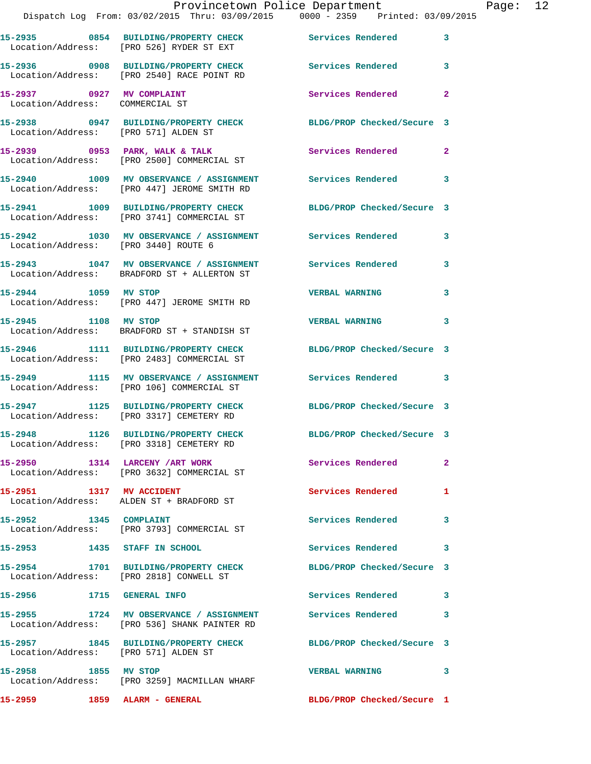|                                      | Provincetown Police Department<br>Dispatch Log From: 03/02/2015 Thru: 03/09/2015 0000 - 2359 Printed: 03/09/2015 |                            |              | Page: 12 |  |
|--------------------------------------|------------------------------------------------------------------------------------------------------------------|----------------------------|--------------|----------|--|
|                                      | 15-2935 0854 BUILDING/PROPERTY CHECK Services Rendered 3<br>Location/Address: [PRO 526] RYDER ST EXT             |                            |              |          |  |
|                                      | 15-2936 0908 BUILDING/PROPERTY CHECK Services Rendered 3<br>Location/Address: [PRO 2540] RACE POINT RD           |                            |              |          |  |
| Location/Address: COMMERCIAL ST      | 15-2937 0927 MV COMPLAINT                                                                                        | Services Rendered          | $\mathbf{2}$ |          |  |
| Location/Address: [PRO 571] ALDEN ST | 15-2938 0947 BUILDING/PROPERTY CHECK BLDG/PROP Checked/Secure 3                                                  |                            |              |          |  |
|                                      | 15-2939 0953 PARK, WALK & TALK 1988 Services Rendered<br>Location/Address: [PRO 2500] COMMERCIAL ST              |                            | $\mathbf{2}$ |          |  |
|                                      | 15-2940 1009 MV OBSERVANCE / ASSIGNMENT Services Rendered<br>Location/Address: [PRO 447] JEROME SMITH RD         |                            | 3            |          |  |
|                                      | 15-2941 1009 BUILDING/PROPERTY CHECK<br>Location/Address: [PRO 3741] COMMERCIAL ST                               | BLDG/PROP Checked/Secure 3 |              |          |  |
| Location/Address: [PRO 3440] ROUTE 6 | 15-2942 1030 MV OBSERVANCE / ASSIGNMENT Services Rendered                                                        |                            | 3            |          |  |
|                                      | 15-2943 1047 MV OBSERVANCE / ASSIGNMENT Services Rendered 3<br>Location/Address: BRADFORD ST + ALLERTON ST       |                            |              |          |  |
|                                      | 15-2944 1059 MV STOP<br>Location/Address: [PRO 447] JEROME SMITH RD                                              | <b>VERBAL WARNING</b>      | 3            |          |  |
| 15-2945 1108 MV STOP                 | Location/Address: BRADFORD ST + STANDISH ST                                                                      | VERBAL WARNING 3           |              |          |  |
|                                      | 15-2946 1111 BUILDING/PROPERTY CHECK BLDG/PROP Checked/Secure 3<br>Location/Address: [PRO 2483] COMMERCIAL ST    |                            |              |          |  |
|                                      | 15-2949 1115 MV OBSERVANCE / ASSIGNMENT Services Rendered 3<br>Location/Address: [PRO 106] COMMERCIAL ST         |                            |              |          |  |
|                                      | 15-2947 1125 BUILDING/PROPERTY CHECK BLDG/PROP Checked/Secure 3<br>Location/Address: [PRO 3317] CEMETERY RD      |                            |              |          |  |
|                                      | 15-2948 1126 BUILDING/PROPERTY CHECK<br>Location/Address: [PRO 3318] CEMETERY RD                                 | BLDG/PROP Checked/Secure 3 |              |          |  |
|                                      | 15-2950 1314 LARCENY / ART WORK Services Rendered<br>Location/Address: [PRO 3632] COMMERCIAL ST                  |                            | $\mathbf{2}$ |          |  |
|                                      | 15-2951 1317 MV ACCIDENT<br>Location/Address: ALDEN ST + BRADFORD ST                                             | Services Rendered 1        |              |          |  |
| 15-2952 1345 COMPLAINT               | Location/Address: [PRO 3793] COMMERCIAL ST                                                                       | Services Rendered          | 3            |          |  |
| 15-2953 1435 STAFF IN SCHOOL         |                                                                                                                  | Services Rendered 3        |              |          |  |
|                                      | 15-2954 1701 BUILDING/PROPERTY CHECK BLDG/PROP Checked/Secure 3<br>Location/Address: [PRO 2818] CONWELL ST       |                            |              |          |  |
| 15-2956 1715 GENERAL INFO            |                                                                                                                  | Services Rendered 3        |              |          |  |
|                                      | 15-2955 1724 MV OBSERVANCE / ASSIGNMENT Services Rendered<br>Location/Address: [PRO 536] SHANK PAINTER RD        |                            | $\mathbf{3}$ |          |  |
| Location/Address: [PRO 571] ALDEN ST | 15-2957 1845 BUILDING/PROPERTY CHECK BLDG/PROP Checked/Secure 3                                                  |                            |              |          |  |
| 15-2958 1855 MV STOP                 | Location/Address: [PRO 3259] MACMILLAN WHARF                                                                     | VERBAL WARNING 3           |              |          |  |
|                                      |                                                                                                                  | BLDG/PROP Checked/Secure 1 |              |          |  |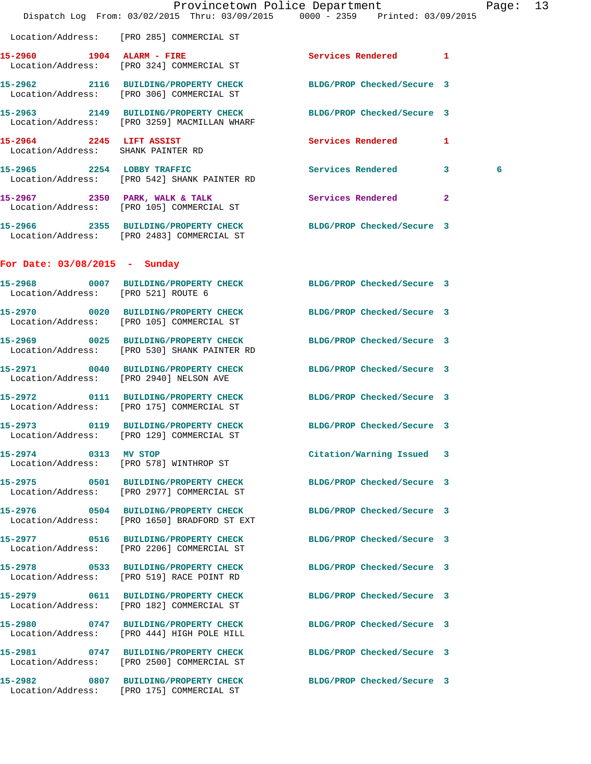|                                                                |                                                                                                                 | Provincetown Police Department<br>Dispatch Log From: 03/02/2015 Thru: 03/09/2015 0000 - 2359 Printed: 03/09/2015 | Page: 13 |  |
|----------------------------------------------------------------|-----------------------------------------------------------------------------------------------------------------|------------------------------------------------------------------------------------------------------------------|----------|--|
|                                                                | Location/Address: [PRO 285] COMMERCIAL ST                                                                       |                                                                                                                  |          |  |
|                                                                | 15-2960 1904 ALARM - FIRE<br>Location/Address: [PRO 324] COMMERCIAL ST                                          | Services Rendered 1                                                                                              |          |  |
|                                                                | 15-2962 2116 BUILDING/PROPERTY CHECK BLDG/PROP Checked/Secure 3<br>Location/Address: [PRO 306] COMMERCIAL ST    |                                                                                                                  |          |  |
|                                                                | 15-2963 2149 BUILDING/PROPERTY CHECK BLDG/PROP Checked/Secure 3<br>Location/Address: [PRO 3259] MACMILLAN WHARF |                                                                                                                  |          |  |
| 15-2964 2245 LIFT ASSIST<br>Location/Address: SHANK PAINTER RD |                                                                                                                 | Services Rendered 1                                                                                              |          |  |
|                                                                | 15-2965 2254 LOBBY TRAFFIC Services Rendered 3<br>Location/Address: [PRO 542] SHANK PAINTER RD                  |                                                                                                                  | 6        |  |
|                                                                | 15-2967 2350 PARK, WALK & TALK 2008 Services Rendered<br>Location/Address: [PRO 105] COMMERCIAL ST              | $\overline{2}$                                                                                                   |          |  |
|                                                                | 15-2966 2355 BUILDING/PROPERTY CHECK BLDG/PROP Checked/Secure 3<br>Location/Address: [PRO 2483] COMMERCIAL ST   |                                                                                                                  |          |  |
| For Date: $03/08/2015$ - Sunday                                |                                                                                                                 |                                                                                                                  |          |  |
| 15-2968<br>Location/Address: [PRO 521] ROUTE 6                 | 0007 BUILDING/PROPERTY CHECK BLDG/PROP Checked/Secure 3                                                         |                                                                                                                  |          |  |
|                                                                | 15-2970 0020 BUILDING/PROPERTY CHECK BLDG/PROP Checked/Secure 3<br>Location/Address: [PRO 105] COMMERCIAL ST    |                                                                                                                  |          |  |
|                                                                | 15-2969 0025 BUILDING/PROPERTY CHECK<br>Location/Address: [PRO 530] SHANK PAINTER RD                            | BLDG/PROP Checked/Secure 3                                                                                       |          |  |
|                                                                | 15-2971 0040 BUILDING/PROPERTY CHECK BLDG/PROP Checked/Secure 3<br>Location/Address: [PRO 2940] NELSON AVE      |                                                                                                                  |          |  |
|                                                                | 15-2972 0111 BUILDING/PROPERTY CHECK BLDG/PROP Checked/Secure 3<br>Location/Address: [PRO 175] COMMERCIAL ST    |                                                                                                                  |          |  |
|                                                                | 15-2973 0119 BUILDING/PROPERTY CHECK BLDG/PROP Checked/Secure 3<br>Location/Address: [PRO 129] COMMERCIAL ST    |                                                                                                                  |          |  |
| 15-2974 0313 MV STOP                                           | Location/Address: [PRO 578] WINTHROP ST                                                                         | Citation/Warning Issued 3                                                                                        |          |  |
|                                                                | 15-2975 0501 BUILDING/PROPERTY CHECK<br>Location/Address: [PRO 2977] COMMERCIAL ST                              | BLDG/PROP Checked/Secure 3                                                                                       |          |  |
|                                                                | 15-2976 0504 BUILDING/PROPERTY CHECK<br>Location/Address: [PRO 1650] BRADFORD ST EXT                            | BLDG/PROP Checked/Secure 3                                                                                       |          |  |
|                                                                | 15-2977 0516 BUILDING/PROPERTY CHECK<br>Location/Address: [PRO 2206] COMMERCIAL ST                              | BLDG/PROP Checked/Secure 3                                                                                       |          |  |
|                                                                | 15-2978 0533 BUILDING/PROPERTY CHECK BLDG/PROP Checked/Secure 3<br>Location/Address: [PRO 519] RACE POINT RD    |                                                                                                                  |          |  |
|                                                                | 15-2979 0611 BUILDING/PROPERTY CHECK<br>Location/Address: [PRO 182] COMMERCIAL ST                               | BLDG/PROP Checked/Secure 3                                                                                       |          |  |
|                                                                | 15-2980 0747 BUILDING/PROPERTY CHECK BLDG/PROP Checked/Secure 3<br>Location/Address: [PRO 444] HIGH POLE HILL   |                                                                                                                  |          |  |
|                                                                | 15-2981 0747 BUILDING/PROPERTY CHECK<br>Location/Address: [PRO 2500] COMMERCIAL ST                              | BLDG/PROP Checked/Secure 3                                                                                       |          |  |
|                                                                | 15-2982 0807 BUILDING/PROPERTY CHECK<br>Location/Address: [PRO 175] COMMERCIAL ST                               | BLDG/PROP Checked/Secure 3                                                                                       |          |  |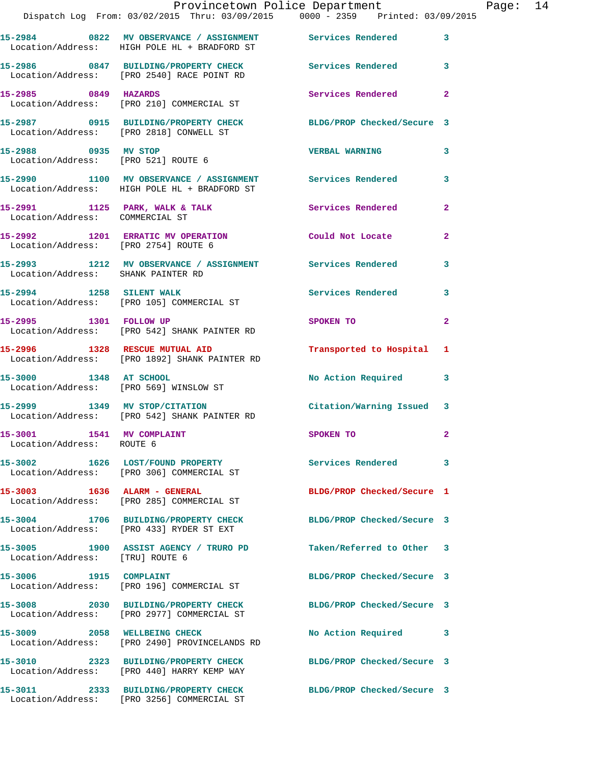|                                                        | Provincetown Police Department<br>Dispatch Log From: 03/02/2015 Thru: 03/09/2015 0000 - 2359 Printed: 03/09/2015        |                            |                |
|--------------------------------------------------------|-------------------------------------------------------------------------------------------------------------------------|----------------------------|----------------|
|                                                        | 15-2984      0822   MV OBSERVANCE / ASSIGNMENT      Services Rendered<br>Location/Address:   HIGH POLE HL + BRADFORD ST |                            | 3              |
|                                                        | 15-2986 0847 BUILDING/PROPERTY CHECK Services Rendered<br>Location/Address: [PRO 2540] RACE POINT RD                    |                            | 3              |
| 15-2985 0849 HAZARDS                                   | Location/Address: [PRO 210] COMMERCIAL ST                                                                               | Services Rendered          | $\overline{a}$ |
| Location/Address: [PRO 2818] CONWELL ST                | 15-2987 0915 BUILDING/PROPERTY CHECK BLDG/PROP Checked/Secure 3                                                         |                            |                |
| 15-2988 0935 MV STOP                                   | Location/Address: [PRO 521] ROUTE 6                                                                                     | <b>VERBAL WARNING</b>      | 3              |
|                                                        | 15-2990 1100 MV OBSERVANCE / ASSIGNMENT Services Rendered<br>Location/Address: HIGH POLE HL + BRADFORD ST               |                            | 3              |
| Location/Address: COMMERCIAL ST                        | 15-2991 1125 PARK, WALK & TALK 1988 Services Rendered                                                                   |                            | $\overline{a}$ |
| Location/Address: [PRO 2754] ROUTE 6                   | 15-2992 1201 ERRATIC MV OPERATION                                                                                       | Could Not Locate           | 2              |
| Location/Address: SHANK PAINTER RD                     | 15-2993 1212 MV OBSERVANCE / ASSIGNMENT Services Rendered                                                               |                            | 3              |
|                                                        | 15-2994 1258 SILENT WALK<br>Location/Address: [PRO 105] COMMERCIAL ST                                                   | Services Rendered          | 3              |
| 15-2995 1301 FOLLOW UP                                 | Location/Address: [PRO 542] SHANK PAINTER RD                                                                            | SPOKEN TO                  | $\mathbf{2}$   |
|                                                        | 15-2996 1328 RESCUE MUTUAL AID<br>Location/Address: [PRO 1892] SHANK PAINTER RD                                         | Transported to Hospital    | 1              |
| 15-3000 1348 AT SCHOOL                                 | Location/Address: [PRO 569] WINSLOW ST                                                                                  | No Action Required         | 3              |
|                                                        | 15-2999 1349 MV STOP/CITATION<br>Location/Address: [PRO 542] SHANK PAINTER RD                                           | Citation/Warning Issued    | 3              |
| 15-3001 1541 MV COMPLAINT<br>Location/Address: ROUTE 6 |                                                                                                                         | SPOKEN TO                  |                |
|                                                        | 15-3002 1626 LOST/FOUND PROPERTY<br>Location/Address: [PRO 306] COMMERCIAL ST                                           | <b>Services Rendered</b>   | 3              |
| 15-3003 1636 ALARM - GENERAL                           | Location/Address: [PRO 285] COMMERCIAL ST                                                                               | BLDG/PROP Checked/Secure 1 |                |
|                                                        | 15-3004 1706 BUILDING/PROPERTY CHECK<br>Location/Address: [PRO 433] RYDER ST EXT                                        | BLDG/PROP Checked/Secure 3 |                |
| Location/Address: [TRU] ROUTE 6                        | 15-3005 1900 ASSIST AGENCY / TRURO PD Taken/Referred to Other                                                           |                            | 3              |
| 15-3006 1915 COMPLAINT                                 | Location/Address: [PRO 196] COMMERCIAL ST                                                                               | BLDG/PROP Checked/Secure 3 |                |
|                                                        | 15-3008 2030 BUILDING/PROPERTY CHECK<br>Location/Address: [PRO 2977] COMMERCIAL ST                                      | BLDG/PROP Checked/Secure 3 |                |
|                                                        | 15-3009 2058 WELLBEING CHECK<br>Location/Address: [PRO 2490] PROVINCELANDS RD                                           | No Action Required         | 3              |
|                                                        | 15-3010 2323 BUILDING/PROPERTY CHECK<br>Location/Address: [PRO 440] HARRY KEMP WAY                                      | BLDG/PROP Checked/Secure 3 |                |
|                                                        | 15-3011 2333 BUILDING/PROPERTY CHECK<br>Location/Address: [PRO 3256] COMMERCIAL ST                                      | BLDG/PROP Checked/Secure 3 |                |

Page: 14